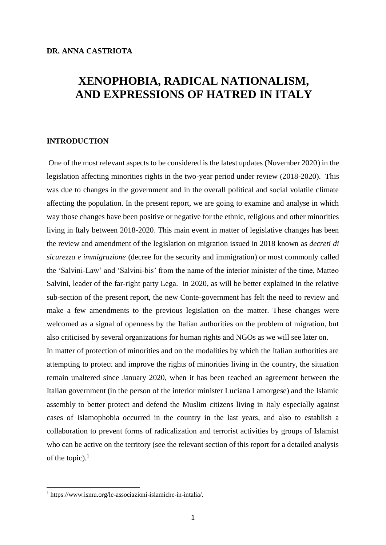# **XENOPHOBIA, RADICAL NATIONALISM, AND EXPRESSIONS OF HATRED IN ITALY**

## **INTRODUCTION**

One of the most relevant aspects to be considered is the latest updates (November 2020) in the legislation affecting minorities rights in the two-year period under review (2018-2020). This was due to changes in the government and in the overall political and social volatile climate affecting the population. In the present report, we are going to examine and analyse in which way those changes have been positive or negative for the ethnic, religious and other minorities living in Italy between 2018-2020. This main event in matter of legislative changes has been the review and amendment of the legislation on migration issued in 2018 known as *decreti di sicurezza e immigrazione* (decree for the security and immigration) or most commonly called the 'Salvini-Law' and 'Salvini-bis' from the name of the interior minister of the time, Matteo Salvini, leader of the far-right party Lega. In 2020, as will be better explained in the relative sub-section of the present report, the new Conte-government has felt the need to review and make a few amendments to the previous legislation on the matter. These changes were welcomed as a signal of openness by the Italian authorities on the problem of migration, but also criticised by several organizations for human rights and NGOs as we will see later on. In matter of protection of minorities and on the modalities by which the Italian authorities are

attempting to protect and improve the rights of minorities living in the country, the situation remain unaltered since January 2020, when it has been reached an agreement between the Italian government (in the person of the interior minister Luciana Lamorgese) and the Islamic assembly to better protect and defend the Muslim citizens living in Italy especially against cases of Islamophobia occurred in the country in the last years, and also to establish a collaboration to prevent forms of radicalization and terrorist activities by groups of Islamist who can be active on the territory (see the relevant section of this report for a detailed analysis of the topic). $<sup>1</sup>$ </sup>

<sup>1</sup> https://www.ismu.org/le-associazioni-islamiche-in-intalia/.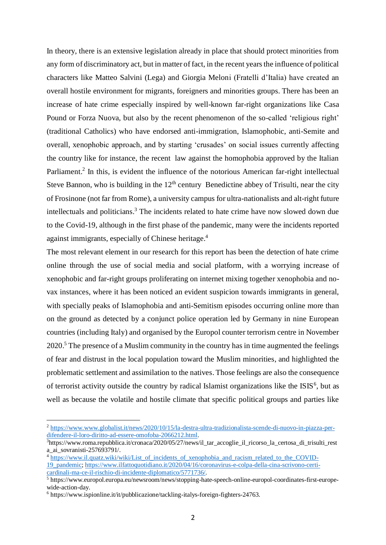In theory, there is an extensive legislation already in place that should protect minorities from any form of discriminatory act, but in matter of fact, in the recent years the influence of political characters like Matteo Salvini (Lega) and Giorgia Meloni (Fratelli d'Italia) have created an overall hostile environment for migrants, foreigners and minorities groups. There has been an increase of hate crime especially inspired by well-known far-right organizations like Casa Pound or Forza Nuova, but also by the recent phenomenon of the so-called 'religious right' (traditional Catholics) who have endorsed anti-immigration, Islamophobic, anti-Semite and overall, xenophobic approach, and by starting 'crusades' on social issues currently affecting the country like for instance, the recent law against the homophobia approved by the Italian Parliament.<sup>2</sup> In this, is evident the influence of the notorious American far-right intellectual Steve Bannon, who is building in the  $12<sup>th</sup>$  century Benedictine abbey of Trisulti, near the city of Frosinone (not far from Rome), a university campus for ultra-nationalists and alt-right future intellectuals and politicians.<sup>3</sup> The incidents related to hate crime have now slowed down due to the Covid-19, although in the first phase of the pandemic, many were the incidents reported against immigrants, especially of Chinese heritage. 4

The most relevant element in our research for this report has been the detection of hate crime online through the use of social media and social platform, with a worrying increase of xenophobic and far-right groups proliferating on internet mixing together xenophobia and novax instances, where it has been noticed an evident suspicion towards immigrants in general, with specially peaks of Islamophobia and anti-Semitism episodes occurring online more than on the ground as detected by a conjunct police operation led by Germany in nine European countries (including Italy) and organised by the Europol counter terrorism centre in November 2020.<sup>5</sup> The presence of a Muslim community in the country has in time augmented the feelings of fear and distrust in the local population toward the Muslim minorities, and highlighted the problematic settlement and assimilation to the natives. Those feelings are also the consequence of terrorist activity outside the country by radical Islamist organizations like the ISIS<sup>6</sup>, but as well as because the volatile and hostile climate that specific political groups and parties like

<sup>2</sup> [https://www.www.globalist.it/news/2020/10/15/la-destra-ultra-tradizionalista-scende-di-nuovo-in-piazza-per](https://www.www.globalist.it/news/2020/10/15/la-destra-ultra-tradizionalista-scende-di-nuovo-in-piazza-per-difendere-il-loro-diritto-ad-essere-omofoba-2066212.html)[difendere-il-loro-diritto-ad-essere-omofoba-2066212.html.](https://www.www.globalist.it/news/2020/10/15/la-destra-ultra-tradizionalista-scende-di-nuovo-in-piazza-per-difendere-il-loro-diritto-ad-essere-omofoba-2066212.html)

 $3$ https://www.roma.repubblica.it/cronaca/2020/05/27/news/il tar accoglie il ricorso la certosa di trisulti rest a\_ai\_sovranisti-257693791/.

<sup>&</sup>lt;sup>4</sup> https://www.il.quatz.wiki/wiki/List of incidents of xenophobia and racism related to the COVID-[19\\_pandemic;](https://www.il.quatz.wiki/wiki/List_of_incidents_of_xenophobia_and_racism_related_to_the_COVID-19_pandemic) [https://www.ilfattoquotidiano.it/2020/04/16/coronavirus-e-colpa-della-cina-scrivono-certi](https://www.ilfattoquotidiano.it/2020/04/16/coronavirus-e-colpa-della-cina-scrivono-certi-cardinali-ma-ce-il-rischio-di-incidente-diplomatico/5771736/)[cardinali-ma-ce-il-rischio-di-incidente-diplomatico/5771736/.](https://www.ilfattoquotidiano.it/2020/04/16/coronavirus-e-colpa-della-cina-scrivono-certi-cardinali-ma-ce-il-rischio-di-incidente-diplomatico/5771736/)

<sup>5</sup> https://www.europol.europa.eu/newsroom/news/stopping-hate-speech-online-europol-coordinates-first-europewide-action-day.

<sup>6</sup> https://www.ispionline.it/it/pubblicazione/tackling-italys-foreign-fighters-24763.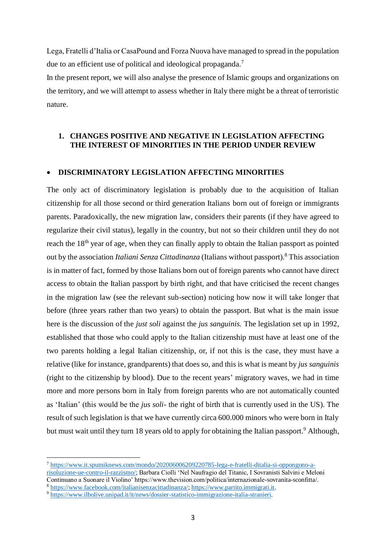Lega, Fratelli d'Italia or CasaPound and Forza Nuova have managed to spread in the population due to an efficient use of political and ideological propaganda.<sup>7</sup>

In the present report, we will also analyse the presence of Islamic groups and organizations on the territory, and we will attempt to assess whether in Italy there might be a threat of terroristic nature.

## **1. CHANGES POSITIVE AND NEGATIVE IN LEGISLATION AFFECTING THE INTEREST OF MINORITIES IN THE PERIOD UNDER REVIEW**

#### **DISCRIMINATORY LEGISLATION AFFECTING MINORITIES**

The only act of discriminatory legislation is probably due to the acquisition of Italian citizenship for all those second or third generation Italians born out of foreign or immigrants parents. Paradoxically, the new migration law, considers their parents (if they have agreed to regularize their civil status), legally in the country, but not so their children until they do not reach the 18<sup>th</sup> year of age, when they can finally apply to obtain the Italian passport as pointed out by the association *Italiani Senza Cittadinanza* (Italians without passport).<sup>8</sup> This association is in matter of fact, formed by those Italians born out of foreign parents who cannot have direct access to obtain the Italian passport by birth right, and that have criticised the recent changes in the migration law (see the relevant sub-section) noticing how now it will take longer that before (three years rather than two years) to obtain the passport. But what is the main issue here is the discussion of the *just soli* against the *jus sanguinis.* The legislation set up in 1992, established that those who could apply to the Italian citizenship must have at least one of the two parents holding a legal Italian citizenship, or, if not this is the case, they must have a relative (like for instance, grandparents) that does so, and this is what is meant by *jus sanguinis* (right to the citizenship by blood). Due to the recent years' migratory waves, we had in time more and more persons born in Italy from foreign parents who are not automatically counted as 'Italian' (this would be the *jus soli-* the right of birth that is currently used in the US). The result of such legislation is that we have currently circa 600.000 minors who were born in Italy but must wait until they turn 18 years old to apply for obtaining the Italian passport.<sup>9</sup> Although,

<sup>7</sup> [https://www.it.sputniknews.com/mondo/202006006209220785-lega-e-fratelli-ditalia-si-oppongono-a](https://www.it.sputniknews.com/mondo/202006006209220785-lega-e-fratelli-ditalia-si-oppongono-a-risoluzione-ue-contro-il-razzismo/)[risoluzione-ue-contro-il-razzismo/;](https://www.it.sputniknews.com/mondo/202006006209220785-lega-e-fratelli-ditalia-si-oppongono-a-risoluzione-ue-contro-il-razzismo/) Barbara Ciolli 'Nel Naufragio del Titanic, I Sovranisti Salvini e Meloni Continuano a Suonare il Violino' https://www.thevision.com/politica/internazionale-sovranita-sconfitta/.

<sup>8</sup> [https://www.facebook.com/italianisenzacittadinanza/;](https://www.facebook.com/italianisenzacittadinanza/) [https://www.partito.immigrati.it.](https://www.partito.immigrati.it/) <sup>9</sup> [https://www.ilbolive.unipad.it/it/news/dossier-statistico-immigrazione-italia-stranieri.](https://www.ilbolive.unipad.it/it/news/dossier-statistico-immigrazione-italia-stranieri)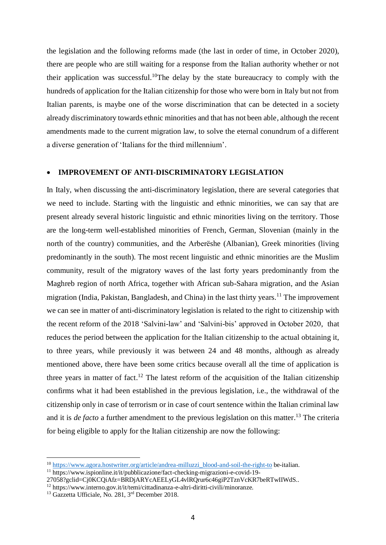the legislation and the following reforms made (the last in order of time, in October 2020), there are people who are still waiting for a response from the Italian authority whether or not their application was successful.<sup>10</sup>The delay by the state bureaucracy to comply with the hundreds of application for the Italian citizenship for those who were born in Italy but not from Italian parents, is maybe one of the worse discrimination that can be detected in a society already discriminatory towards ethnic minorities and that has not been able, although the recent amendments made to the current migration law, to solve the eternal conundrum of a different a diverse generation of 'Italians for the third millennium'.

#### **IMPROVEMENT OF ANTI-DISCRIMINATORY LEGISLATION**

In Italy, when discussing the anti-discriminatory legislation, there are several categories that we need to include. Starting with the linguistic and ethnic minorities, we can say that are present already several historic linguistic and ethnic minorities living on the territory. Those are the long-term well-established minorities of French, German, Slovenian (mainly in the north of the country) communities, and the Arberëshe (Albanian), Greek minorities (living predominantly in the south). The most recent linguistic and ethnic minorities are the Muslim community, result of the migratory waves of the last forty years predominantly from the Maghreb region of north Africa, together with African sub-Sahara migration, and the Asian migration (India, Pakistan, Bangladesh, and China) in the last thirty years.<sup>11</sup> The improvement we can see in matter of anti-discriminatory legislation is related to the right to citizenship with the recent reform of the 2018 'Salvini-law' and 'Salvini-bis' approved in October 2020, that reduces the period between the application for the Italian citizenship to the actual obtaining it, to three years, while previously it was between 24 and 48 months, although as already mentioned above, there have been some critics because overall all the time of application is three years in matter of fact.<sup>12</sup> The latest reform of the acquisition of the Italian citizenship confirms what it had been established in the previous legislation, i.e., the withdrawal of the citizenship only in case of terrorism or in case of court sentence within the Italian criminal law and it is *de facto* a further amendment to the previous legislation on this matter. <sup>13</sup> The criteria for being eligible to apply for the Italian citizenship are now the following:

<sup>10</sup> [https://www.agora.hostwriter.org/article/andrea-milluzzi\\_blood-and-soil-the-right-to](https://www.agora.hostwriter.org/article/andrea-milluzzi_blood-and-soil-the-right-to) be-italian.

<sup>11</sup> https://www.ispionline.it/it/pubblicazione/fact-checking-migrazioni-e-covid-19-

<sup>27058?</sup>gclid=Cj0KCQiAfz=BRDjARYcAEELyGL4vlRQrur6c46giP2TznVcKR7beRTwIIWdS..

<sup>12</sup> https://www.interno.gov.it/it/temi/cittadinanza-e-altri-diritti-civili/minoranze.

<sup>&</sup>lt;sup>13</sup> Gazzetta Ufficiale, No. 281, 3<sup>rd</sup> December 2018.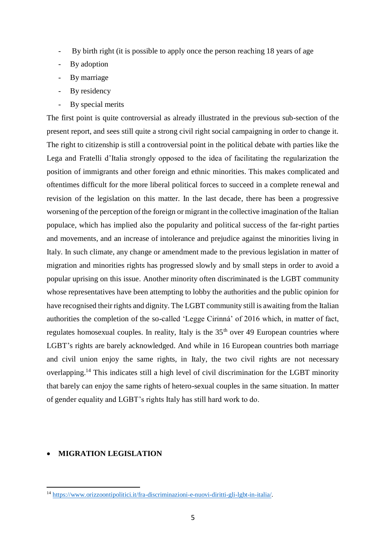- By birth right (it is possible to apply once the person reaching 18 years of age
- By adoption
- By marriage
- By residency
- By special merits

The first point is quite controversial as already illustrated in the previous sub-section of the present report, and sees still quite a strong civil right social campaigning in order to change it. The right to citizenship is still a controversial point in the political debate with parties like the Lega and Fratelli d'Italia strongly opposed to the idea of facilitating the regularization the position of immigrants and other foreign and ethnic minorities. This makes complicated and oftentimes difficult for the more liberal political forces to succeed in a complete renewal and revision of the legislation on this matter. In the last decade, there has been a progressive worsening of the perception of the foreign or migrant in the collective imagination of the Italian populace, which has implied also the popularity and political success of the far-right parties and movements, and an increase of intolerance and prejudice against the minorities living in Italy. In such climate, any change or amendment made to the previous legislation in matter of migration and minorities rights has progressed slowly and by small steps in order to avoid a popular uprising on this issue. Another minority often discriminated is the LGBT community whose representatives have been attempting to lobby the authorities and the public opinion for have recognised their rights and dignity. The LGBT community still is awaiting from the Italian authorities the completion of the so-called 'Legge Cirinná' of 2016 which, in matter of fact, regulates homosexual couples. In reality, Italy is the  $35<sup>th</sup>$  over 49 European countries where LGBT's rights are barely acknowledged. And while in 16 European countries both marriage and civil union enjoy the same rights, in Italy, the two civil rights are not necessary overlapping.<sup>14</sup> This indicates still a high level of civil discrimination for the LGBT minority that barely can enjoy the same rights of hetero-sexual couples in the same situation. In matter of gender equality and LGBT's rights Italy has still hard work to do.

# **MIGRATION LEGISLATION**

 $\overline{a}$ <sup>14</sup> [https://www.orizzoontipolitici.it/fra-discriminazioni-e-nuovi-diritti-gli-lgbt-in-italia/.](https://www.orizzoontipolitici.it/fra-discriminazioni-e-nuovi-diritti-gli-lgbt-in-italia/)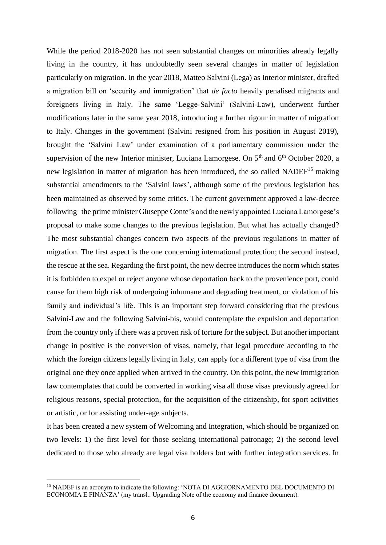While the period 2018-2020 has not seen substantial changes on minorities already legally living in the country, it has undoubtedly seen several changes in matter of legislation particularly on migration. In the year 2018, Matteo Salvini (Lega) as Interior minister, drafted a migration bill on 'security and immigration' that *de facto* heavily penalised migrants and foreigners living in Italy. The same 'Legge-Salvini' (Salvini-Law), underwent further modifications later in the same year 2018, introducing a further rigour in matter of migration to Italy. Changes in the government (Salvini resigned from his position in August 2019), brought the 'Salvini Law' under examination of a parliamentary commission under the supervision of the new Interior minister, Luciana Lamorgese. On  $5<sup>th</sup>$  and  $6<sup>th</sup>$  October 2020, a new legislation in matter of migration has been introduced, the so called NADEF<sup>15</sup> making substantial amendments to the 'Salvini laws', although some of the previous legislation has been maintained as observed by some critics. The current government approved a law-decree following the prime minister Giuseppe Conte's and the newly appointed Luciana Lamorgese's proposal to make some changes to the previous legislation. But what has actually changed? The most substantial changes concern two aspects of the previous regulations in matter of migration. The first aspect is the one concerning international protection; the second instead, the rescue at the sea. Regarding the first point, the new decree introduces the norm which states it is forbidden to expel or reject anyone whose deportation back to the provenience port, could cause for them high risk of undergoing inhumane and degrading treatment, or violation of his family and individual's life. This is an important step forward considering that the previous Salvini-Law and the following Salvini-bis, would contemplate the expulsion and deportation from the country only if there was a proven risk of torture for the subject. But another important change in positive is the conversion of visas, namely, that legal procedure according to the which the foreign citizens legally living in Italy, can apply for a different type of visa from the original one they once applied when arrived in the country. On this point, the new immigration law contemplates that could be converted in working visa all those visas previously agreed for religious reasons, special protection, for the acquisition of the citizenship, for sport activities or artistic, or for assisting under-age subjects.

It has been created a new system of Welcoming and Integration, which should be organized on two levels: 1) the first level for those seeking international patronage; 2) the second level dedicated to those who already are legal visa holders but with further integration services. In

<sup>15</sup> NADEF is an acronym to indicate the following: 'NOTA DI AGGIORNAMENTO DEL DOCUMENTO DI ECONOMIA E FINANZA' (my transl.: Upgrading Note of the economy and finance document).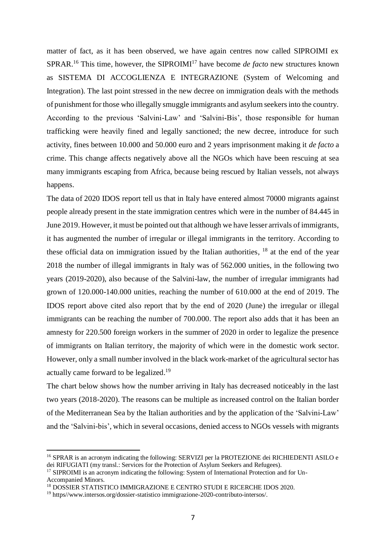matter of fact, as it has been observed, we have again centres now called SIPROIMI ex SPRAR.<sup>16</sup> This time, however, the SIPROIMI<sup>17</sup> have become *de facto* new structures known as SISTEMA DI ACCOGLIENZA E INTEGRAZIONE (System of Welcoming and Integration). The last point stressed in the new decree on immigration deals with the methods of punishment for those who illegally smuggle immigrants and asylum seekers into the country. According to the previous 'Salvini-Law' and 'Salvini-Bis', those responsible for human trafficking were heavily fined and legally sanctioned; the new decree, introduce for such activity, fines between 10.000 and 50.000 euro and 2 years imprisonment making it *de facto* a crime. This change affects negatively above all the NGOs which have been rescuing at sea many immigrants escaping from Africa, because being rescued by Italian vessels, not always happens.

The data of 2020 IDOS report tell us that in Italy have entered almost 70000 migrants against people already present in the state immigration centres which were in the number of 84.445 in June 2019. However, it must be pointed out that although we have lesser arrivals of immigrants, it has augmented the number of irregular or illegal immigrants in the territory. According to these official data on immigration issued by the Italian authorities, <sup>18</sup> at the end of the year 2018 the number of illegal immigrants in Italy was of 562.000 unities, in the following two years (2019-2020), also because of the Salvini-law, the number of irregular immigrants had grown of 120.000-140.000 unities, reaching the number of 610.000 at the end of 2019. The IDOS report above cited also report that by the end of 2020 (June) the irregular or illegal immigrants can be reaching the number of 700.000. The report also adds that it has been an amnesty for 220.500 foreign workers in the summer of 2020 in order to legalize the presence of immigrants on Italian territory, the majority of which were in the domestic work sector. However, only a small number involved in the black work-market of the agricultural sector has actually came forward to be legalized.<sup>19</sup>

The chart below shows how the number arriving in Italy has decreased noticeably in the last two years (2018-2020). The reasons can be multiple as increased control on the Italian border of the Mediterranean Sea by the Italian authorities and by the application of the 'Salvini-Law' and the 'Salvini-bis', which in several occasions, denied access to NGOs vessels with migrants

<sup>&</sup>lt;sup>16</sup> SPRAR is an acronym indicating the following: SERVIZI per la PROTEZIONE dei RICHIEDENTI ASILO e dei RIFUGIATI (my transl.: Services for the Protection of Asylum Seekers and Refugees).

<sup>&</sup>lt;sup>17</sup> SIPROIMI is an acronym indicating the following: System of International Protection and for Un-Accompanied Minors.

<sup>18</sup> DOSSIER STATISTICO IMMIGRAZIONE E CENTRO STUDI E RICERCHE IDOS 2020.

<sup>&</sup>lt;sup>19</sup> https//www.intersos.org/dossier-statistico immigrazione-2020-contributo-intersos/.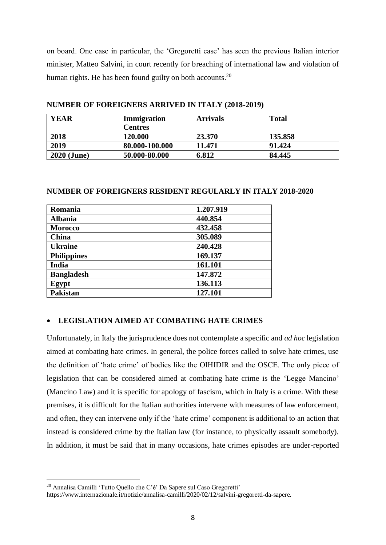on board. One case in particular, the 'Gregoretti case' has seen the previous Italian interior minister, Matteo Salvini, in court recently for breaching of international law and violation of human rights. He has been found guilty on both accounts.<sup>20</sup>

| <b>YEAR</b>        | Immigration    | <b>Arrivals</b> | <b>Total</b> |
|--------------------|----------------|-----------------|--------------|
|                    | <b>Centres</b> |                 |              |
| 2018               | 120.000        | 23.370          | 135.858      |
| 2019               | 80.000-100.000 | 11.471          | 91.424       |
| <b>2020 (June)</b> | 50.000-80.000  | 6.812           | 84.445       |

**NUMBER OF FOREIGNERS ARRIVED IN ITALY (2018-2019)**

# **NUMBER OF FOREIGNERS RESIDENT REGULARLY IN ITALY 2018-2020**

| Romania            | 1.207.919 |
|--------------------|-----------|
| <b>Albania</b>     | 440.854   |
| <b>Morocco</b>     | 432.458   |
| China              | 305.089   |
| <b>Ukraine</b>     | 240.428   |
| <b>Philippines</b> | 169.137   |
| India              | 161.101   |
| <b>Bangladesh</b>  | 147.872   |
| Egypt              | 136.113   |
| <b>Pakistan</b>    | 127.101   |

# **LEGISLATION AIMED AT COMBATING HATE CRIMES**

Unfortunately, in Italy the jurisprudence does not contemplate a specific and *ad hoc* legislation aimed at combating hate crimes. In general, the police forces called to solve hate crimes, use the definition of 'hate crime' of bodies like the OIHIDIR and the OSCE. The only piece of legislation that can be considered aimed at combating hate crime is the 'Legge Mancino' (Mancino Law) and it is specific for apology of fascism, which in Italy is a crime. With these premises, it is difficult for the Italian authorities intervene with measures of law enforcement, and often, they can intervene only if the 'hate crime' component is additional to an action that instead is considered crime by the Italian law (for instance, to physically assault somebody). In addition, it must be said that in many occasions, hate crimes episodes are under-reported

<sup>20</sup> Annalisa Camilli 'Tutto Quello che C'è' Da Sapere sul Caso Gregoretti'

https://www.internazionale.it/notizie/annalisa-camilli/2020/02/12/salvini-gregoretti-da-sapere.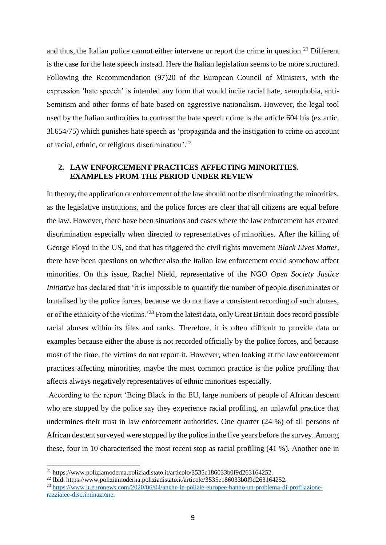and thus, the Italian police cannot either intervene or report the crime in question.<sup>21</sup> Different is the case for the hate speech instead. Here the Italian legislation seems to be more structured. Following the Recommendation (97)20 of the European Council of Ministers, with the expression 'hate speech' is intended any form that would incite racial hate, xenophobia, anti-Semitism and other forms of hate based on aggressive nationalism. However, the legal tool used by the Italian authorities to contrast the hate speech crime is the article 604 bis (ex artic. 3l.654/75) which punishes hate speech as 'propaganda and the instigation to crime on account of racial, ethnic, or religious discrimination'.<sup>22</sup>

# **2. LAW ENFORCEMENT PRACTICES AFFECTING MINORITIES. EXAMPLES FROM THE PERIOD UNDER REVIEW**

In theory, the application or enforcement of the law should not be discriminating the minorities, as the legislative institutions, and the police forces are clear that all citizens are equal before the law. However, there have been situations and cases where the law enforcement has created discrimination especially when directed to representatives of minorities. After the killing of George Floyd in the US, and that has triggered the civil rights movement *Black Lives Matter*, there have been questions on whether also the Italian law enforcement could somehow affect minorities. On this issue, Rachel Nield, representative of the NGO *Open Society Justice Initiative* has declared that 'it is impossible to quantify the number of people discriminates or brutalised by the police forces, because we do not have a consistent recording of such abuses, or of the ethnicity of the victims.<sup>23</sup> From the latest data, only Great Britain does record possible racial abuses within its files and ranks. Therefore, it is often difficult to provide data or examples because either the abuse is not recorded officially by the police forces, and because most of the time, the victims do not report it. However, when looking at the law enforcement practices affecting minorities, maybe the most common practice is the police profiling that affects always negatively representatives of ethnic minorities especially.

According to the report 'Being Black in the EU, large numbers of people of African descent who are stopped by the police say they experience racial profiling, an unlawful practice that undermines their trust in law enforcement authorities. One quarter (24 %) of all persons of African descent surveyed were stopped by the police in the five years before the survey. Among these, four in 10 characterised the most recent stop as racial profiling (41 %). Another one in

<sup>&</sup>lt;sup>21</sup> https://www.poliziamoderna.poliziadistato.it/articolo/3535e186033b0f9d263164252.

<sup>&</sup>lt;sup>22</sup> Ibid. https://www.poliziamoderna.poliziadistato.it/articolo/3535e186033b0f9d263164252.

<sup>23</sup> [https://www.it.euronews.com/2020/06/04/anche-le-polizie-europee-hanno-un-problema-di-profilazione](https://www.it.euronews.com/2020/06/04/anche-le-polizie-europee-hanno-un-problema-di-profilazione-razzialee-discriminazione)[razzialee-discriminazione.](https://www.it.euronews.com/2020/06/04/anche-le-polizie-europee-hanno-un-problema-di-profilazione-razzialee-discriminazione)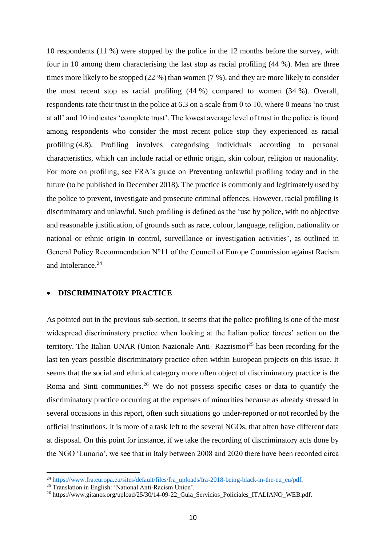10 respondents (11 %) were stopped by the police in the 12 months before the survey, with four in 10 among them characterising the last stop as racial profiling (44 %). Men are three times more likely to be stopped (22 %) than women (7 %), and they are more likely to consider the most recent stop as racial profiling (44 %) compared to women (34 %). Overall, respondents rate their trust in the police at 6.3 on a scale from 0 to 10, where 0 means 'no trust at all' and 10 indicates 'complete trust'. The lowest average level of trust in the police is found among respondents who consider the most recent police stop they experienced as racial profiling (4.8). Profiling involves categorising individuals according to personal characteristics, which can include racial or ethnic origin, skin colour, religion or nationality. For more on profiling, see FRA's guide on Preventing unlawful profiling today and in the future (to be published in December 2018). The practice is commonly and legitimately used by the police to prevent, investigate and prosecute criminal offences. However, racial profiling is discriminatory and unlawful. Such profiling is defined as the 'use by police, with no objective and reasonable justification, of grounds such as race, colour, language, religion, nationality or national or ethnic origin in control, surveillance or investigation activities', as outlined in General Policy Recommendation N°11 of the Council of Europe Commission against Racism and Intolerance.<sup>24</sup>

### **DISCRIMINATORY PRACTICE**

As pointed out in the previous sub-section, it seems that the police profiling is one of the most widespread discriminatory practice when looking at the Italian police forces' action on the territory. The Italian UNAR (Union Nazionale Anti- Razzismo)<sup>25</sup> has been recording for the last ten years possible discriminatory practice often within European projects on this issue. It seems that the social and ethnical category more often object of discriminatory practice is the Roma and Sinti communities.<sup>26</sup> We do not possess specific cases or data to quantify the discriminatory practice occurring at the expenses of minorities because as already stressed in several occasions in this report, often such situations go under-reported or not recorded by the official institutions. It is more of a task left to the several NGOs, that often have different data at disposal. On this point for instance, if we take the recording of discriminatory acts done by the NGO 'Lunaria', we see that in Italy between 2008 and 2020 there have been recorded circa

<sup>&</sup>lt;sup>24</sup> [https://www.fra.europa.eu/sites/default/files/fra\\_uploads/fra-2018-being-black-in-the-eu\\_eu/pdf.](https://www.fra.europa.eu/sites/default/files/fra_uploads/fra-2018-being-black-in-the-eu_eu/pdf)

<sup>25</sup> Translation in English: 'National Anti-Racism Union'.

<sup>26</sup> https://www.gitanos.org/upload/25/30/14-09-22\_Guia\_Servicios\_Policiales\_ITALIANO\_WEB.pdf.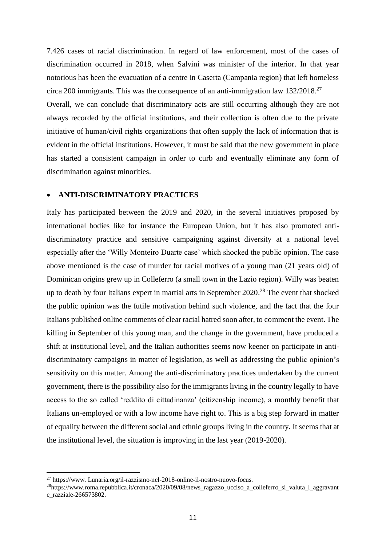7.426 cases of racial discrimination. In regard of law enforcement, most of the cases of discrimination occurred in 2018, when Salvini was minister of the interior. In that year notorious has been the evacuation of a centre in Caserta (Campania region) that left homeless circa 200 immigrants. This was the consequence of an anti-immigration law 132/2018.<sup>27</sup>

Overall, we can conclude that discriminatory acts are still occurring although they are not always recorded by the official institutions, and their collection is often due to the private initiative of human/civil rights organizations that often supply the lack of information that is evident in the official institutions. However, it must be said that the new government in place has started a consistent campaign in order to curb and eventually eliminate any form of discrimination against minorities.

## **ANTI-DISCRIMINATORY PRACTICES**

Italy has participated between the 2019 and 2020, in the several initiatives proposed by international bodies like for instance the European Union, but it has also promoted antidiscriminatory practice and sensitive campaigning against diversity at a national level especially after the 'Willy Monteiro Duarte case' which shocked the public opinion. The case above mentioned is the case of murder for racial motives of a young man (21 years old) of Dominican origins grew up in Colleferro (a small town in the Lazio region). Willy was beaten up to death by four Italians expert in martial arts in September 2020.<sup>28</sup> The event that shocked the public opinion was the futile motivation behind such violence, and the fact that the four Italians published online comments of clear racial hatred soon after, to comment the event. The killing in September of this young man, and the change in the government, have produced a shift at institutional level, and the Italian authorities seems now keener on participate in antidiscriminatory campaigns in matter of legislation, as well as addressing the public opinion's sensitivity on this matter. Among the anti-discriminatory practices undertaken by the current government, there is the possibility also for the immigrants living in the country legally to have access to the so called 'reddito di cittadinanza' (citizenship income), a monthly benefit that Italians un-employed or with a low income have right to. This is a big step forward in matter of equality between the different social and ethnic groups living in the country. It seems that at the institutional level, the situation is improving in the last year (2019-2020).

 $^{27}$  https://www. Lunaria.org/il-razzismo-nel-2018-online-il-nostro-nuovo-focus.

<sup>28</sup>https://www.roma.repubblica.it/cronaca/2020/09/08/news\_ragazzo\_ucciso\_a\_colleferro\_si\_valuta\_l\_aggravant e\_razziale-266573802.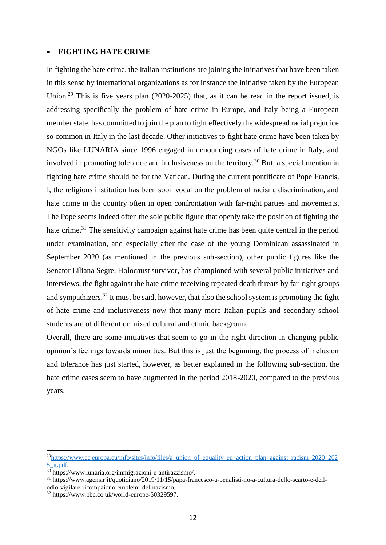#### **FIGHTING HATE CRIME**

In fighting the hate crime, the Italian institutions are joining the initiatives that have been taken in this sense by international organizations as for instance the initiative taken by the European Union.<sup>29</sup> This is five years plan (2020-2025) that, as it can be read in the report issued, is addressing specifically the problem of hate crime in Europe, and Italy being a European member state, has committed to join the plan to fight effectively the widespread racial prejudice so common in Italy in the last decade. Other initiatives to fight hate crime have been taken by NGOs like LUNARIA since 1996 engaged in denouncing cases of hate crime in Italy, and involved in promoting tolerance and inclusiveness on the territory.<sup>30</sup> But, a special mention in fighting hate crime should be for the Vatican. During the current pontificate of Pope Francis, I, the religious institution has been soon vocal on the problem of racism, discrimination, and hate crime in the country often in open confrontation with far-right parties and movements. The Pope seems indeed often the sole public figure that openly take the position of fighting the hate crime.<sup>31</sup> The sensitivity campaign against hate crime has been quite central in the period under examination, and especially after the case of the young Dominican assassinated in September 2020 (as mentioned in the previous sub-section), other public figures like the Senator Liliana Segre, Holocaust survivor, has championed with several public initiatives and interviews, the fight against the hate crime receiving repeated death threats by far-right groups and sympathizers.<sup>32</sup> It must be said, however, that also the school system is promoting the fight of hate crime and inclusiveness now that many more Italian pupils and secondary school students are of different or mixed cultural and ethnic background.

Overall, there are some initiatives that seem to go in the right direction in changing public opinion's feelings towards minorities. But this is just the beginning, the process of inclusion and tolerance has just started, however, as better explained in the following sub-section, the hate crime cases seem to have augmented in the period 2018-2020, compared to the previous years.

<sup>&</sup>lt;sup>29</sup>[https://www.ec.europa.eu/info/sites/info/files/a\\_union\\_of\\_equality\\_eu\\_action\\_plan\\_against\\_racism\\_2020\\_202](https://www.ec.europa.eu/info/sites/info/files/a_union_of_equality_eu_action_plan_against_racism_2020_2025_it.pdf) [5\\_it.pdf.](https://www.ec.europa.eu/info/sites/info/files/a_union_of_equality_eu_action_plan_against_racism_2020_2025_it.pdf)

<sup>30</sup> https://www.lunaria.org/immigrazioni-e-antirazzismo/.

<sup>31</sup> https://www.agensir.it/quotidiano/2019/11/15/papa-francesco-a-penalisti-no-a-cultura-dello-scarto-e-dellodio-vigilare-ricompaiono-emblemi-del-nazismo.

<sup>32</sup> https://www.bbc.co.uk/world-europe-50329597.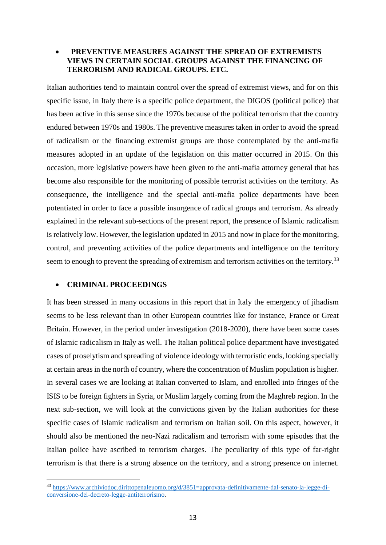# **PREVENTIVE MEASURES AGAINST THE SPREAD OF EXTREMISTS VIEWS IN CERTAIN SOCIAL GROUPS AGAINST THE FINANCING OF TERRORISM AND RADICAL GROUPS. ETC.**

Italian authorities tend to maintain control over the spread of extremist views, and for on this specific issue, in Italy there is a specific police department, the DIGOS (political police) that has been active in this sense since the 1970s because of the political terrorism that the country endured between 1970s and 1980s. The preventive measures taken in order to avoid the spread of radicalism or the financing extremist groups are those contemplated by the anti-mafia measures adopted in an update of the legislation on this matter occurred in 2015. On this occasion, more legislative powers have been given to the anti-mafia attorney general that has become also responsible for the monitoring of possible terrorist activities on the territory. As consequence, the intelligence and the special anti-mafia police departments have been potentiated in order to face a possible insurgence of radical groups and terrorism. As already explained in the relevant sub-sections of the present report, the presence of Islamic radicalism is relatively low. However, the legislation updated in 2015 and now in place for the monitoring, control, and preventing activities of the police departments and intelligence on the territory seem to enough to prevent the spreading of extremism and terrorism activities on the territory.<sup>33</sup>

# **CRIMINAL PROCEEDINGS**

 $\overline{a}$ 

It has been stressed in many occasions in this report that in Italy the emergency of jihadism seems to be less relevant than in other European countries like for instance, France or Great Britain. However, in the period under investigation (2018-2020), there have been some cases of Islamic radicalism in Italy as well. The Italian political police department have investigated cases of proselytism and spreading of violence ideology with terroristic ends, looking specially at certain areas in the north of country, where the concentration of Muslim population is higher. In several cases we are looking at Italian converted to Islam, and enrolled into fringes of the ISIS to be foreign fighters in Syria, or Muslim largely coming from the Maghreb region. In the next sub-section, we will look at the convictions given by the Italian authorities for these specific cases of Islamic radicalism and terrorism on Italian soil. On this aspect, however, it should also be mentioned the neo-Nazi radicalism and terrorism with some episodes that the Italian police have ascribed to terrorism charges. The peculiarity of this type of far-right terrorism is that there is a strong absence on the territory, and a strong presence on internet.

<sup>33</sup> [https://www.archiviodoc.dirittopenaleuomo.org/d/3851=approvata-definitivamente-dal-senato-la-legge-di](https://www.archiviodoc.dirittopenaleuomo.org/d/3851=approvata-definitivamente-dal-senato-la-legge-di-conversione-del-decreto-legge-antiterrorismo)[conversione-del-decreto-legge-antiterrorismo.](https://www.archiviodoc.dirittopenaleuomo.org/d/3851=approvata-definitivamente-dal-senato-la-legge-di-conversione-del-decreto-legge-antiterrorismo)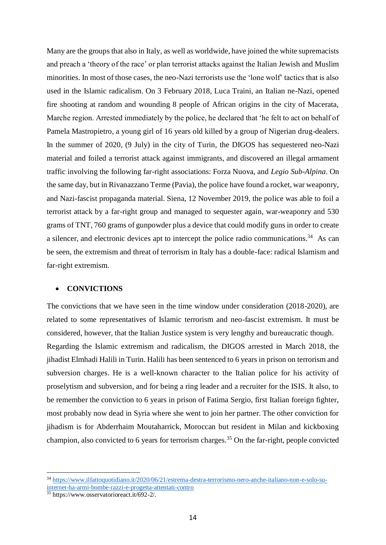Many are the groups that also in Italy, as well as worldwide, have joined the white supremacists and preach a 'theory of the race' or plan terrorist attacks against the Italian Jewish and Muslim minorities. In most of those cases, the neo-Nazi terrorists use the 'lone wolf' tactics that is also used in the Islamic radicalism. On 3 February 2018, Luca Traini, an Italian ne-Nazi, opened fire shooting at random and wounding 8 people of African origins in the city of Macerata, Marche region. Arrested immediately by the police, he declared that 'he felt to act on behalf of Pamela Mastropietro, a young girl of 16 years old killed by a group of Nigerian drug-dealers. In the summer of 2020, (9 July) in the city of Turin, the DIGOS has sequestered neo-Nazi material and foiled a terrorist attack against immigrants, and discovered an illegal armament traffic involving the following far-right associations: Forza Nuova, and *Legio Sub-Alpina*. On the same day, but in Rivanazzano Terme (Pavia), the police have found a rocket, war weaponry, and Nazi-fascist propaganda material. Siena, 12 November 2019, the police was able to foil a terrorist attack by a far-right group and managed to sequester again, war-weaponry and 530 grams of TNT, 760 grams of gunpowder plus a device that could modify guns in order to create a silencer, and electronic devices apt to intercept the police radio communications.<sup>34</sup> As can be seen, the extremism and threat of terrorism in Italy has a double-face: radical Islamism and far-right extremism.

#### **CONVICTIONS**

The convictions that we have seen in the time window under consideration (2018-2020), are related to some representatives of Islamic terrorism and neo-fascist extremism. It must be considered, however, that the Italian Justice system is very lengthy and bureaucratic though. Regarding the Islamic extremism and radicalism, the DIGOS arrested in March 2018, the jihadist Elmhadi Halili in Turin. Halili has been sentenced to 6 years in prison on terrorism and subversion charges. He is a well-known character to the Italian police for his activity of proselytism and subversion, and for being a ring leader and a recruiter for the ISIS. It also, to be remember the conviction to 6 years in prison of Fatima Sergio, first Italian foreign fighter, most probably now dead in Syria where she went to join her partner. The other conviction for jihadism is for Abderrhaim Moutaharrick, Moroccan but resident in Milan and kickboxing champion, also convicted to 6 years for terrorism charges.<sup>35</sup> On the far-right, people convicted

<sup>34</sup> [https://www.ilfattoquotidiano.it/2020/06/21/estrema-destra-terrorismo-nero-anche-italiano-non-e-solo-su](https://www.ilfattoquotidiano.it/2020/06/21/estrema-destra-terrorismo-nero-anche-italiano-non-e-solo-su-internet-ha-armi-bombe-razzi-e-progetta-attentati-contro)[internet-ha-armi-bombe-razzi-e-progetta-attentati-contro](https://www.ilfattoquotidiano.it/2020/06/21/estrema-destra-terrorismo-nero-anche-italiano-non-e-solo-su-internet-ha-armi-bombe-razzi-e-progetta-attentati-contro)

<sup>35</sup> https://www.osservatorioreact.it/692-2/.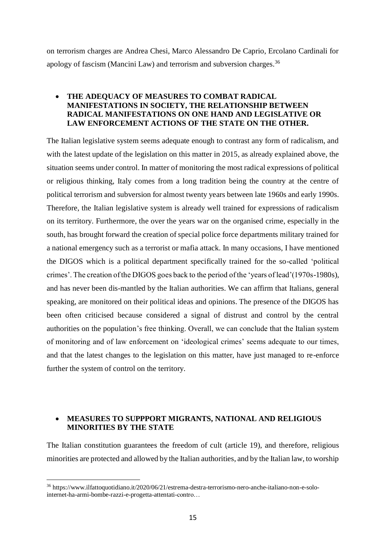on terrorism charges are Andrea Chesi, Marco Alessandro De Caprio, Ercolano Cardinali for apology of fascism (Mancini Law) and terrorism and subversion charges.<sup>36</sup>

# **THE ADEQUACY OF MEASURES TO COMBAT RADICAL MANIFESTATIONS IN SOCIETY, THE RELATIONSHIP BETWEEN RADICAL MANIFESTATIONS ON ONE HAND AND LEGISLATIVE OR LAW ENFORCEMENT ACTIONS OF THE STATE ON THE OTHER.**

The Italian legislative system seems adequate enough to contrast any form of radicalism, and with the latest update of the legislation on this matter in 2015, as already explained above, the situation seems under control. In matter of monitoring the most radical expressions of political or religious thinking, Italy comes from a long tradition being the country at the centre of political terrorism and subversion for almost twenty years between late 1960s and early 1990s. Therefore, the Italian legislative system is already well trained for expressions of radicalism on its territory. Furthermore, the over the years war on the organised crime, especially in the south, has brought forward the creation of special police force departments military trained for a national emergency such as a terrorist or mafia attack. In many occasions, I have mentioned the DIGOS which is a political department specifically trained for the so-called 'political crimes'. The creation of the DIGOS goes back to the period of the 'years of lead'(1970s-1980s), and has never been dis-mantled by the Italian authorities. We can affirm that Italians, general speaking, are monitored on their political ideas and opinions. The presence of the DIGOS has been often criticised because considered a signal of distrust and control by the central authorities on the population's free thinking. Overall, we can conclude that the Italian system of monitoring and of law enforcement on 'ideological crimes' seems adequate to our times, and that the latest changes to the legislation on this matter, have just managed to re-enforce further the system of control on the territory.

# **MEASURES TO SUPPPORT MIGRANTS, NATIONAL AND RELIGIOUS MINORITIES BY THE STATE**

The Italian constitution guarantees the freedom of cult (article 19), and therefore, religious minorities are protected and allowed by the Italian authorities, and by the Italian law, to worship

<sup>36</sup> https://www.ilfattoquotidiano.it/2020/06/21/estrema-destra-terrorismo-nero-anche-italiano-non-e-solointernet-ha-armi-bombe-razzi-e-progetta-attentati-contro…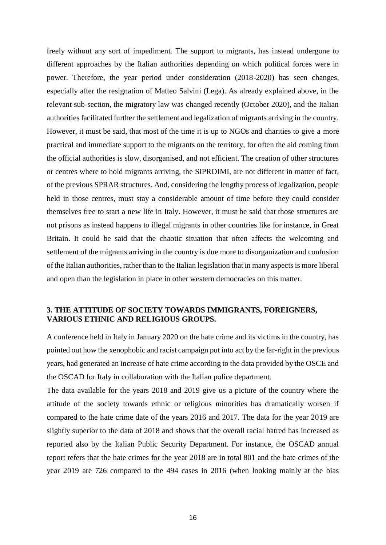freely without any sort of impediment. The support to migrants, has instead undergone to different approaches by the Italian authorities depending on which political forces were in power. Therefore, the year period under consideration (2018-2020) has seen changes, especially after the resignation of Matteo Salvini (Lega). As already explained above, in the relevant sub-section, the migratory law was changed recently (October 2020), and the Italian authorities facilitated further the settlement and legalization of migrants arriving in the country. However, it must be said, that most of the time it is up to NGOs and charities to give a more practical and immediate support to the migrants on the territory, for often the aid coming from the official authorities is slow, disorganised, and not efficient. The creation of other structures or centres where to hold migrants arriving, the SIPROIMI, are not different in matter of fact, of the previous SPRAR structures. And, considering the lengthy process of legalization, people held in those centres, must stay a considerable amount of time before they could consider themselves free to start a new life in Italy. However, it must be said that those structures are not prisons as instead happens to illegal migrants in other countries like for instance, in Great Britain. It could be said that the chaotic situation that often affects the welcoming and settlement of the migrants arriving in the country is due more to disorganization and confusion of the Italian authorities, rather than to the Italian legislation that in many aspects is more liberal and open than the legislation in place in other western democracies on this matter.

# **3. THE ATTITUDE OF SOCIETY TOWARDS IMMIGRANTS, FOREIGNERS, VARIOUS ETHNIC AND RELIGIOUS GROUPS.**

A conference held in Italy in January 2020 on the hate crime and its victims in the country, has pointed out how the xenophobic and racist campaign put into act by the far-right in the previous years, had generated an increase of hate crime according to the data provided by the OSCE and the OSCAD for Italy in collaboration with the Italian police department.

The data available for the years 2018 and 2019 give us a picture of the country where the attitude of the society towards ethnic or religious minorities has dramatically worsen if compared to the hate crime date of the years 2016 and 2017. The data for the year 2019 are slightly superior to the data of 2018 and shows that the overall racial hatred has increased as reported also by the Italian Public Security Department. For instance, the OSCAD annual report refers that the hate crimes for the year 2018 are in total 801 and the hate crimes of the year 2019 are 726 compared to the 494 cases in 2016 (when looking mainly at the bias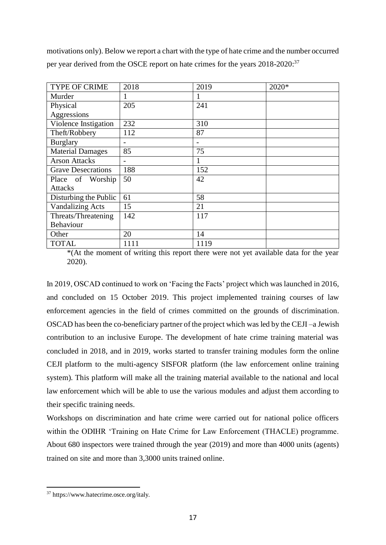motivations only). Below we report a chart with the type of hate crime and the number occurred per year derived from the OSCE report on hate crimes for the years 2018-2020:<sup>37</sup>

| <b>TYPE OF CRIME</b>      | 2018 | 2019 | 2020* |
|---------------------------|------|------|-------|
| Murder                    | 1    | 1    |       |
| Physical                  | 205  | 241  |       |
| Aggressions               |      |      |       |
| Violence Instigation      | 232  | 310  |       |
| Theft/Robbery             | 112  | 87   |       |
| <b>Burglary</b>           |      |      |       |
| <b>Material Damages</b>   | 85   | 75   |       |
| <b>Arson Attacks</b>      |      |      |       |
| <b>Grave Desecrations</b> | 188  | 152  |       |
| Place of Worship          | 50   | 42   |       |
| <b>Attacks</b>            |      |      |       |
| Disturbing the Public     | 61   | 58   |       |
| <b>Vandalizing Acts</b>   | 15   | 21   |       |
| Threats/Threatening       | 142  | 117  |       |
| Behaviour                 |      |      |       |
| Other                     | 20   | 14   |       |
| <b>TOTAL</b>              | 1111 | 1119 |       |

\*(At the moment of writing this report there were not yet available data for the year 2020).

In 2019, OSCAD continued to work on 'Facing the Facts' project which was launched in 2016, and concluded on 15 October 2019. This project implemented training courses of law enforcement agencies in the field of crimes committed on the grounds of discrimination. OSCAD has been the co-beneficiary partner of the project which was led by the CEJI –a Jewish contribution to an inclusive Europe. The development of hate crime training material was concluded in 2018, and in 2019, works started to transfer training modules form the online CEJI platform to the multi-agency SISFOR platform (the law enforcement online training system). This platform will make all the training material available to the national and local law enforcement which will be able to use the various modules and adjust them according to their specific training needs.

Workshops on discrimination and hate crime were carried out for national police officers within the ODIHR 'Training on Hate Crime for Law Enforcement (THACLE) programme. About 680 inspectors were trained through the year (2019) and more than 4000 units (agents) trained on site and more than 3,3000 units trained online.

<sup>37</sup> https://www.hatecrime.osce.org/italy.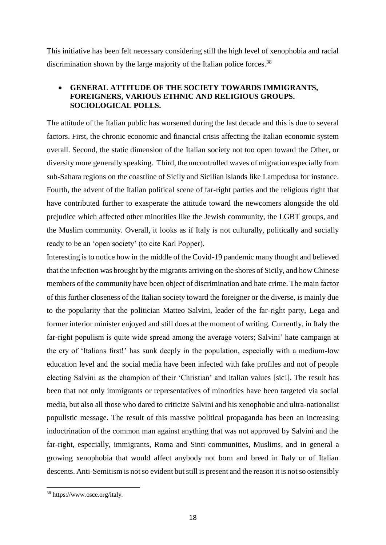This initiative has been felt necessary considering still the high level of xenophobia and racial discrimination shown by the large majority of the Italian police forces.<sup>38</sup>

# **GENERAL ATTITUDE OF THE SOCIETY TOWARDS IMMIGRANTS, FOREIGNERS, VARIOUS ETHNIC AND RELIGIOUS GROUPS. SOCIOLOGICAL POLLS.**

The attitude of the Italian public has worsened during the last decade and this is due to several factors. First, the chronic economic and financial crisis affecting the Italian economic system overall. Second, the static dimension of the Italian society not too open toward the Other, or diversity more generally speaking. Third, the uncontrolled waves of migration especially from sub-Sahara regions on the coastline of Sicily and Sicilian islands like Lampedusa for instance. Fourth, the advent of the Italian political scene of far-right parties and the religious right that have contributed further to exasperate the attitude toward the newcomers alongside the old prejudice which affected other minorities like the Jewish community, the LGBT groups, and the Muslim community. Overall, it looks as if Italy is not culturally, politically and socially ready to be an 'open society' (to cite Karl Popper).

Interesting is to notice how in the middle of the Covid-19 pandemic many thought and believed that the infection was brought by the migrants arriving on the shores of Sicily, and how Chinese members of the community have been object of discrimination and hate crime. The main factor of this further closeness of the Italian society toward the foreigner or the diverse, is mainly due to the popularity that the politician Matteo Salvini, leader of the far-right party, Lega and former interior minister enjoyed and still does at the moment of writing. Currently, in Italy the far-right populism is quite wide spread among the average voters; Salvini' hate campaign at the cry of 'Italians first!' has sunk deeply in the population, especially with a medium-low education level and the social media have been infected with fake profiles and not of people electing Salvini as the champion of their 'Christian' and Italian values [sic!]. The result has been that not only immigrants or representatives of minorities have been targeted via social media, but also all those who dared to criticize Salvini and his xenophobic and ultra-nationalist populistic message. The result of this massive political propaganda has been an increasing indoctrination of the common man against anything that was not approved by Salvini and the far-right, especially, immigrants, Roma and Sinti communities, Muslims, and in general a growing xenophobia that would affect anybody not born and breed in Italy or of Italian descents. Anti-Semitism is not so evident but still is present and the reason it is not so ostensibly

<sup>38</sup> https://www.osce.org/italy.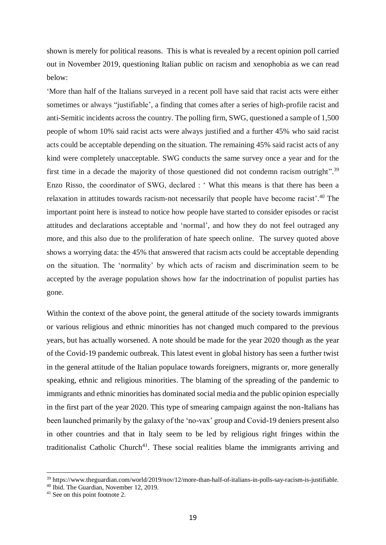shown is merely for political reasons. This is what is revealed by a recent opinion poll carried out in November 2019, questioning Italian public on racism and xenophobia as we can read below:

'More than half of the Italians surveyed in a recent poll have said that racist acts were either sometimes or always "justifiable', a finding that comes after a series of high-profile racist and anti-Semitic incidents across the country. The polling firm, SWG, questioned a sample of 1,500 people of whom 10% said racist acts were always justified and a further 45% who said racist acts could be acceptable depending on the situation. The remaining 45% said racist acts of any kind were completely unacceptable. SWG conducts the same survey once a year and for the first time in a decade the majority of those questioned did not condemn racism outright".<sup>39</sup> Enzo Risso, the coordinator of SWG, declared : ' What this means is that there has been a relaxation in attitudes towards racism-not necessarily that people have become racist'.<sup>40</sup> The important point here is instead to notice how people have started to consider episodes or racist attitudes and declarations acceptable and 'normal', and how they do not feel outraged any more, and this also due to the proliferation of hate speech online. The survey quoted above shows a worrying data: the 45% that answered that racism acts could be acceptable depending on the situation. The 'normality' by which acts of racism and discrimination seem to be accepted by the average population shows how far the indoctrination of populist parties has gone.

Within the context of the above point, the general attitude of the society towards immigrants or various religious and ethnic minorities has not changed much compared to the previous years, but has actually worsened. A note should be made for the year 2020 though as the year of the Covid-19 pandemic outbreak. This latest event in global history has seen a further twist in the general attitude of the Italian populace towards foreigners, migrants or, more generally speaking, ethnic and religious minorities. The blaming of the spreading of the pandemic to immigrants and ethnic minorities has dominated social media and the public opinion especially in the first part of the year 2020. This type of smearing campaign against the non-Italians has been launched primarily by the galaxy of the 'no-vax' group and Covid-19 deniers present also in other countries and that in Italy seem to be led by religious right fringes within the traditionalist Catholic Church<sup>41</sup>. These social realities blame the immigrants arriving and

<sup>39</sup> https://www.theguardian.com/world/2019/nov/12/more-than-half-of-italians-in-polls-say-racism-is-justifiable.

<sup>40</sup> Ibid. The Guardian, November 12, 2019.

<sup>&</sup>lt;sup>41</sup> See on this point footnote 2.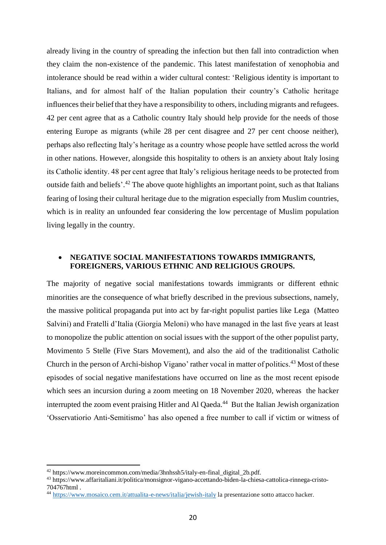already living in the country of spreading the infection but then fall into contradiction when they claim the non-existence of the pandemic. This latest manifestation of xenophobia and intolerance should be read within a wider cultural contest: 'Religious identity is important to Italians, and for almost half of the Italian population their country's Catholic heritage influences their belief that they have a responsibility to others, including migrants and refugees. 42 per cent agree that as a Catholic country Italy should help provide for the needs of those entering Europe as migrants (while 28 per cent disagree and 27 per cent choose neither), perhaps also reflecting Italy's heritage as a country whose people have settled across the world in other nations. However, alongside this hospitality to others is an anxiety about Italy losing its Catholic identity. 48 per cent agree that Italy's religious heritage needs to be protected from outside faith and beliefs'.<sup>42</sup> The above quote highlights an important point, such as that Italians fearing of losing their cultural heritage due to the migration especially from Muslim countries, which is in reality an unfounded fear considering the low percentage of Muslim population living legally in the country.

# **NEGATIVE SOCIAL MANIFESTATIONS TOWARDS IMMIGRANTS, FOREIGNERS, VARIOUS ETHNIC AND RELIGIOUS GROUPS.**

The majority of negative social manifestations towards immigrants or different ethnic minorities are the consequence of what briefly described in the previous subsections, namely, the massive political propaganda put into act by far-right populist parties like Lega (Matteo Salvini) and Fratelli d'Italia (Giorgia Meloni) who have managed in the last five years at least to monopolize the public attention on social issues with the support of the other populist party, Movimento 5 Stelle (Five Stars Movement), and also the aid of the traditionalist Catholic Church in the person of Archi-bishop Vigano' rather vocal in matter of politics.<sup>43</sup> Most of these episodes of social negative manifestations have occurred on line as the most recent episode which sees an incursion during a zoom meeting on 18 November 2020, whereas the hacker interrupted the zoom event praising Hitler and Al Qaeda.<sup>44</sup> But the Italian Jewish organization 'Osservatiorio Anti-Semitismo' has also opened a free number to call if victim or witness of

<sup>&</sup>lt;sup>42</sup> https://www.moreincommon.com/media/3hnhssh5/italy-en-final\_digital\_2b.pdf.

<sup>43</sup> https://www.affaritaliani.it/politica/monsignor-vigano-accettando-biden-la-chiesa-cattolica-rinnega-cristo-704767html .

<sup>44</sup> <https://www.mosaico.cem.it/attualita-e-news/italia/jewish-italy> la presentazione sotto attacco hacker.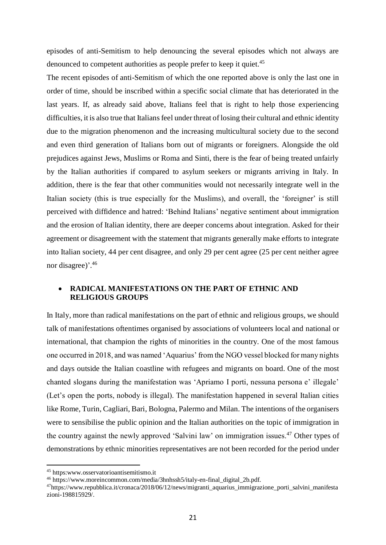episodes of anti-Semitism to help denouncing the several episodes which not always are denounced to competent authorities as people prefer to keep it quiet.<sup>45</sup>

The recent episodes of anti-Semitism of which the one reported above is only the last one in order of time, should be inscribed within a specific social climate that has deteriorated in the last years. If, as already said above, Italians feel that is right to help those experiencing difficulties, it is also true that Italians feel under threat of losing their cultural and ethnic identity due to the migration phenomenon and the increasing multicultural society due to the second and even third generation of Italians born out of migrants or foreigners. Alongside the old prejudices against Jews, Muslims or Roma and Sinti, there is the fear of being treated unfairly by the Italian authorities if compared to asylum seekers or migrants arriving in Italy. In addition, there is the fear that other communities would not necessarily integrate well in the Italian society (this is true especially for the Muslims), and overall, the 'foreigner' is still perceived with diffidence and hatred: 'Behind Italians' negative sentiment about immigration and the erosion of Italian identity, there are deeper concerns about integration. Asked for their agreement or disagreement with the statement that migrants generally make efforts to integrate into Italian society, 44 per cent disagree, and only 29 per cent agree (25 per cent neither agree nor disagree)'.<sup>46</sup>

# **RADICAL MANIFESTATIONS ON THE PART OF ETHNIC AND RELIGIOUS GROUPS**

In Italy, more than radical manifestations on the part of ethnic and religious groups, we should talk of manifestations oftentimes organised by associations of volunteers local and national or international, that champion the rights of minorities in the country. One of the most famous one occurred in 2018, and was named 'Aquarius' from the NGO vessel blocked for many nights and days outside the Italian coastline with refugees and migrants on board. One of the most chanted slogans during the manifestation was 'Apriamo I porti, nessuna persona e' illegale' (Let's open the ports, nobody is illegal). The manifestation happened in several Italian cities like Rome, Turin, Cagliari, Bari, Bologna, Palermo and Milan. The intentions of the organisers were to sensibilise the public opinion and the Italian authorities on the topic of immigration in the country against the newly approved 'Salvini law' on immigration issues.<sup>47</sup> Other types of demonstrations by ethnic minorities representatives are not been recorded for the period under

<sup>45</sup> https:www.osservatorioantisemitismo.it

<sup>46</sup> https://www.moreincommon.com/media/3hnhssh5/italy-en-final\_digital\_2b.pdf.

<sup>47</sup>https://www.repubblica.it/cronaca/2018/06/12/news/migranti\_aquarius\_immigrazione\_porti\_salvini\_manifesta zioni-198815929/.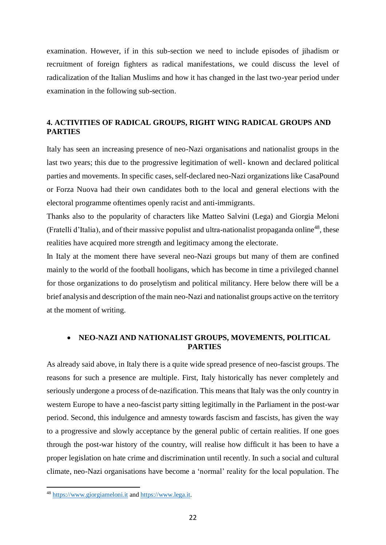examination. However, if in this sub-section we need to include episodes of jihadism or recruitment of foreign fighters as radical manifestations, we could discuss the level of radicalization of the Italian Muslims and how it has changed in the last two-year period under examination in the following sub-section.

# **4. ACTIVITIES OF RADICAL GROUPS, RIGHT WING RADICAL GROUPS AND PARTIES**

Italy has seen an increasing presence of neo-Nazi organisations and nationalist groups in the last two years; this due to the progressive legitimation of well- known and declared political parties and movements. In specific cases, self-declared neo-Nazi organizations like CasaPound or Forza Nuova had their own candidates both to the local and general elections with the electoral programme oftentimes openly racist and anti-immigrants.

Thanks also to the popularity of characters like Matteo Salvini (Lega) and Giorgia Meloni (Fratelli d'Italia), and of their massive populist and ultra-nationalist propaganda online<sup>48</sup>, these realities have acquired more strength and legitimacy among the electorate.

In Italy at the moment there have several neo-Nazi groups but many of them are confined mainly to the world of the football hooligans, which has become in time a privileged channel for those organizations to do proselytism and political militancy. Here below there will be a brief analysis and description of the main neo-Nazi and nationalist groups active on the territory at the moment of writing.

# **NEO-NAZI AND NATIONALIST GROUPS, MOVEMENTS, POLITICAL PARTIES**

As already said above, in Italy there is a quite wide spread presence of neo-fascist groups. The reasons for such a presence are multiple. First, Italy historically has never completely and seriously undergone a process of de-nazification. This means that Italy was the only country in western Europe to have a neo-fascist party sitting legitimally in the Parliament in the post-war period. Second, this indulgence and amnesty towards fascism and fascists, has given the way to a progressive and slowly acceptance by the general public of certain realities. If one goes through the post-war history of the country, will realise how difficult it has been to have a proper legislation on hate crime and discrimination until recently. In such a social and cultural climate, neo-Nazi organisations have become a 'normal' reality for the local population. The

<sup>48</sup> [https://www.giorgiameloni.it](https://www.giorgiameloni.it/) an[d https://www.lega.it.](https://www.lega.it/)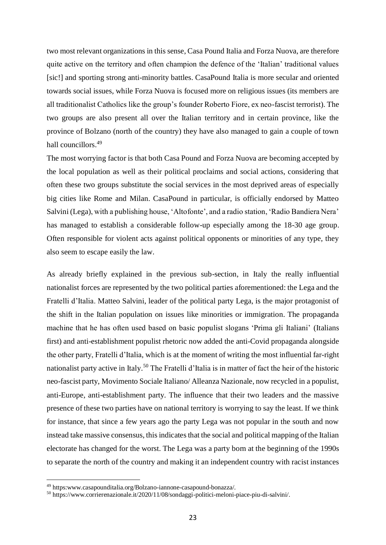two most relevant organizations in this sense, Casa Pound Italia and Forza Nuova, are therefore quite active on the territory and often champion the defence of the 'Italian' traditional values [sic!] and sporting strong anti-minority battles. CasaPound Italia is more secular and oriented towards social issues, while Forza Nuova is focused more on religious issues (its members are all traditionalist Catholics like the group's founder Roberto Fiore, ex neo-fascist terrorist). The two groups are also present all over the Italian territory and in certain province, like the province of Bolzano (north of the country) they have also managed to gain a couple of town hall councillors.<sup>49</sup>

The most worrying factor is that both Casa Pound and Forza Nuova are becoming accepted by the local population as well as their political proclaims and social actions, considering that often these two groups substitute the social services in the most deprived areas of especially big cities like Rome and Milan. CasaPound in particular, is officially endorsed by Matteo Salvini (Lega), with a publishing house, 'Altofonte', and a radio station, 'Radio Bandiera Nera' has managed to establish a considerable follow-up especially among the 18-30 age group. Often responsible for violent acts against political opponents or minorities of any type, they also seem to escape easily the law.

As already briefly explained in the previous sub-section, in Italy the really influential nationalist forces are represented by the two political parties aforementioned: the Lega and the Fratelli d'Italia. Matteo Salvini, leader of the political party Lega, is the major protagonist of the shift in the Italian population on issues like minorities or immigration. The propaganda machine that he has often used based on basic populist slogans 'Prima gli Italiani' (Italians first) and anti-establishment populist rhetoric now added the anti-Covid propaganda alongside the other party, Fratelli d'Italia, which is at the moment of writing the most influential far-right nationalist party active in Italy.<sup>50</sup> The Fratelli d'Italia is in matter of fact the heir of the historic neo-fascist party, Movimento Sociale Italiano/ Alleanza Nazionale, now recycled in a populist, anti-Europe, anti-establishment party. The influence that their two leaders and the massive presence of these two parties have on national territory is worrying to say the least. If we think for instance, that since a few years ago the party Lega was not popular in the south and now instead take massive consensus, this indicates that the social and political mapping of the Italian electorate has changed for the worst. The Lega was a party born at the beginning of the 1990s to separate the north of the country and making it an independent country with racist instances

<sup>49</sup> https:www.casapounditalia.org/Bolzano-iannone-casapound-bonazza/.

<sup>50</sup> https://www.corrierenazionale.it/2020/11/08/sondaggi-politici-meloni-piace-piu-di-salvini/.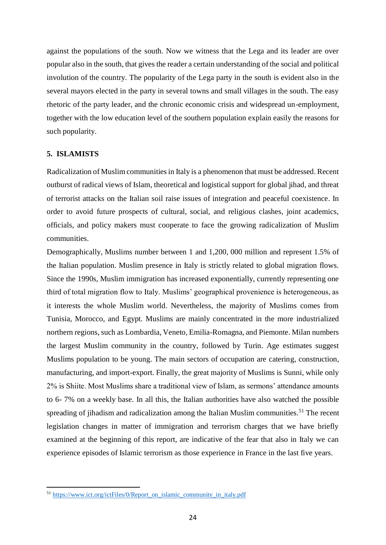against the populations of the south. Now we witness that the Lega and its leader are over popular also in the south, that gives the reader a certain understanding of the social and political involution of the country. The popularity of the Lega party in the south is evident also in the several mayors elected in the party in several towns and small villages in the south. The easy rhetoric of the party leader, and the chronic economic crisis and widespread un-employment, together with the low education level of the southern population explain easily the reasons for such popularity.

#### **5. ISLAMISTS**

 $\overline{a}$ 

Radicalization of Muslim communities in Italy is a phenomenon that must be addressed. Recent outburst of radical views of Islam, theoretical and logistical support for global jihad, and threat of terrorist attacks on the Italian soil raise issues of integration and peaceful coexistence. In order to avoid future prospects of cultural, social, and religious clashes, joint academics, officials, and policy makers must cooperate to face the growing radicalization of Muslim communities.

Demographically, Muslims number between 1 and 1,200, 000 million and represent 1.5% of the Italian population. Muslim presence in Italy is strictly related to global migration flows. Since the 1990s, Muslim immigration has increased exponentially, currently representing one third of total migration flow to Italy. Muslims' geographical provenience is heterogeneous, as it interests the whole Muslim world. Nevertheless, the majority of Muslims comes from Tunisia, Morocco, and Egypt. Muslims are mainly concentrated in the more industrialized northern regions, such as Lombardia, Veneto, Emilia-Romagna, and Piemonte. Milan numbers the largest Muslim community in the country, followed by Turin. Age estimates suggest Muslims population to be young. The main sectors of occupation are catering, construction, manufacturing, and import-export. Finally, the great majority of Muslims is Sunni, while only 2% is Shiite. Most Muslims share a traditional view of Islam, as sermons' attendance amounts to 6- 7% on a weekly base. In all this, the Italian authorities have also watched the possible spreading of jihadism and radicalization among the Italian Muslim communities.<sup>51</sup> The recent legislation changes in matter of immigration and terrorism charges that we have briefly examined at the beginning of this report, are indicative of the fear that also in Italy we can experience episodes of Islamic terrorism as those experience in France in the last five years.

<sup>&</sup>lt;sup>51</sup> [https://www.ict.org/ictFiles/0/Report\\_on\\_islamic\\_community\\_in\\_italy.pdf](https://www.ict.org/ictFiles/0/Report_on_islamic_community_in_italy.pdf)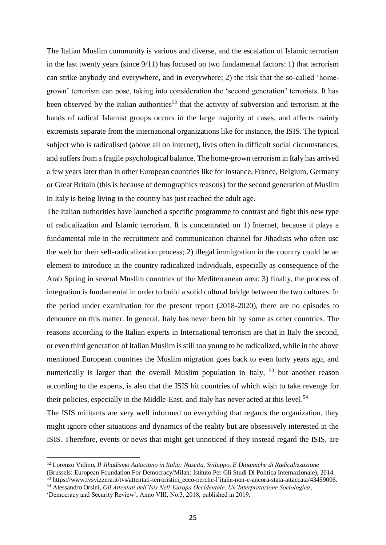The Italian Muslim community is various and diverse, and the escalation of Islamic terrorism in the last twenty years (since 9/11) has focused on two fundamental factors: 1) that terrorism can strike anybody and everywhere, and in everywhere; 2) the risk that the so-called 'homegrown' terrorism can pose, taking into consideration the 'second generation' terrorists. It has been observed by the Italian authorities<sup>52</sup> that the activity of subversion and terrorism at the hands of radical Islamist groups occurs in the large majority of cases, and affects mainly extremists separate from the international organizations like for instance, the ISIS. The typical subject who is radicalised (above all on internet), lives often in difficult social circumstances, and suffers from a fragile psychological balance. The home-grown terrorism in Italy has arrived a few years later than in other European countries like for instance, France, Belgium, Germany or Great Britain (this is because of demographics reasons) for the second generation of Muslim in Italy is being living in the country has just reached the adult age.

The Italian authorities have launched a specific programme to contrast and fight this new type of radicalization and Islamic terrorism. It is concentrated on 1) Internet, because it plays a fundamental role in the recruitment and communication channel for Jihadists who often use the web for their self-radicalization process; 2) illegal immigration in the country could be an element to introduce in the country radicalized individuals, especially as consequence of the Arab Spring in several Muslim countries of the Mediterranean area; 3) finally, the process of integration is fundamental in order to build a solid cultural bridge between the two cultures. In the period under examination for the present report (2018-2020), there are no episodes to denounce on this matter. In general, Italy has never been hit by some as other countries. The reasons according to the Italian experts in International terrorism are that in Italy the second, or even third generation of Italian Muslim is still too young to be radicalized, while in the above mentioned European countries the Muslim migration goes back to even forty years ago, and numerically is larger than the overall Muslim population in Italy, <sup>53</sup> but another reason according to the experts, is also that the ISIS hit countries of which wish to take revenge for their policies, especially in the Middle-East, and Italy has never acted at this level.<sup>54</sup>

The ISIS militants are very well informed on everything that regards the organization, they might ignore other situations and dynamics of the reality but are obsessively interested in the ISIS. Therefore, events or news that might get unnoticed if they instead regard the ISIS, are

<sup>52</sup> Lorenzo Vidino, *Il Jihadismo Autoctono in Italia: Nascita, Sviluppo, E Dinamiche di Radicalizzazione* (Brussels: European Foundation For Democracy/Milan: Istituto Per Gli Studi Di Politica Internazionale), 2014.

 $\frac{53}{10}$  https://www.tvsvizzera.it/tvs/attentati-terroristici\_ecco-perche-l'italia-non-e-ancora-stata-attaccata/43459006.

<sup>54</sup> Alessandro Orsini, *Gli Attentati dell'Isis Nell'Europa Occidentale, Un'Interpretazione Sociologica*,

<sup>&#</sup>x27;Democracy and Security Review', Anno VIII, No.3, 2018, published in 2019.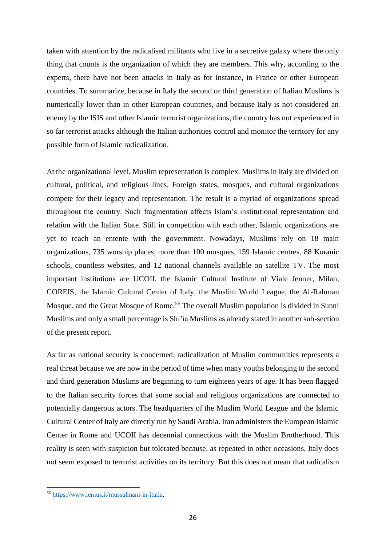taken with attention by the radicalised militants who live in a secretive galaxy where the only thing that counts is the organization of which they are members. This why, according to the experts, there have not been attacks in Italy as for instance, in France or other European countries. To summarize, because in Italy the second or third generation of Italian Muslims is numerically lower than in other European countries, and because Italy is not considered an enemy by the ISIS and other Islamic terrorist organizations, the country has not experienced in so far terrorist attacks although the Italian authorities control and monitor the territory for any possible form of Islamic radicalization.

At the organizational level, Muslim representation is complex. Muslims in Italy are divided on cultural, political, and religious lines. Foreign states, mosques, and cultural organizations compete for their legacy and representation. The result is a myriad of organizations spread throughout the country. Such fragmentation affects Islam's institutional representation and relation with the Italian State. Still in competition with each other, Islamic organizations are yet to reach an entente with the government. Nowadays, Muslims rely on 18 main organizations, 735 worship places, more than 100 mosques, 159 Islamic centres, 88 Koranic schools, countless websites, and 12 national channels available on satellite TV. The most important institutions are UCOII, the Islamic Cultural Institute of Viale Jenner, Milan, COREIS, the Islamic Cultural Center of Italy, the Muslim World League, the Al-Rahman Mosque, and the Great Mosque of Rome.<sup>55</sup> The overall Muslim population is divided in Sunni Muslims and only a small percentage is Shi'ia Muslims as already stated in another sub-section of the present report.

As far as national security is concerned, radicalization of Muslim communities represents a real threat because we are now in the period of time when many youths belonging to the second and third generation Muslims are beginning to turn eighteen years of age. It has been flagged to the Italian security forces that some social and religious organizations are connected to potentially dangerous actors. The headquarters of the Muslim World League and the Islamic Cultural Center of Italy are directly run by Saudi Arabia. Iran administers the European Islamic Center in Rome and UCOII has decennial connections with the Muslim Brotherhood. This reality is seen with suspicion but tolerated because, as repeated in other occasions, Italy does not seem exposed to terrorist activities on its territory. But this does not mean that radicalism

<sup>55</sup> [https://www.lenius.it/mussulmani-in-italia.](https://www.lenius.it/mussulmani-in-italia)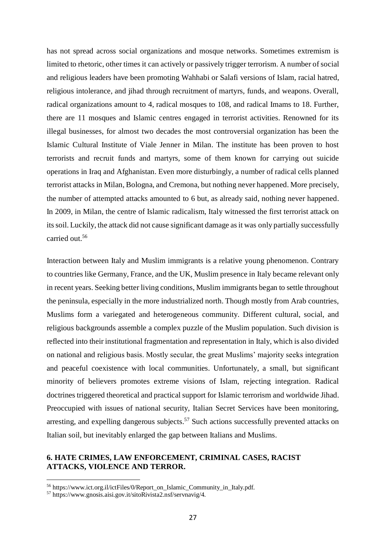has not spread across social organizations and mosque networks. Sometimes extremism is limited to rhetoric, other times it can actively or passively trigger terrorism. A number of social and religious leaders have been promoting Wahhabi or Salafi versions of Islam, racial hatred, religious intolerance, and jihad through recruitment of martyrs, funds, and weapons. Overall, radical organizations amount to 4, radical mosques to 108, and radical Imams to 18. Further, there are 11 mosques and Islamic centres engaged in terrorist activities. Renowned for its illegal businesses, for almost two decades the most controversial organization has been the Islamic Cultural Institute of Viale Jenner in Milan. The institute has been proven to host terrorists and recruit funds and martyrs, some of them known for carrying out suicide operations in Iraq and Afghanistan. Even more disturbingly, a number of radical cells planned terrorist attacks in Milan, Bologna, and Cremona, but nothing never happened. More precisely, the number of attempted attacks amounted to 6 but, as already said, nothing never happened. In 2009, in Milan, the centre of Islamic radicalism, Italy witnessed the first terrorist attack on its soil. Luckily, the attack did not cause significant damage as it was only partially successfully carried out.<sup>56</sup>

Interaction between Italy and Muslim immigrants is a relative young phenomenon. Contrary to countries like Germany, France, and the UK, Muslim presence in Italy became relevant only in recent years. Seeking better living conditions, Muslim immigrants began to settle throughout the peninsula, especially in the more industrialized north. Though mostly from Arab countries, Muslims form a variegated and heterogeneous community. Different cultural, social, and religious backgrounds assemble a complex puzzle of the Muslim population. Such division is reflected into their institutional fragmentation and representation in Italy, which is also divided on national and religious basis. Mostly secular, the great Muslims' majority seeks integration and peaceful coexistence with local communities. Unfortunately, a small, but significant minority of believers promotes extreme visions of Islam, rejecting integration. Radical doctrines triggered theoretical and practical support for Islamic terrorism and worldwide Jihad. Preoccupied with issues of national security, Italian Secret Services have been monitoring, arresting, and expelling dangerous subjects.<sup>57</sup> Such actions successfully prevented attacks on Italian soil, but inevitably enlarged the gap between Italians and Muslims.

# **6. HATE CRIMES, LAW ENFORCEMENT, CRIMINAL CASES, RACIST ATTACKS, VIOLENCE AND TERROR.**

<sup>56</sup> https://www.ict.org.il/ictFiles/0/Report\_on\_Islamic\_Community\_in\_Italy.pdf.

<sup>57</sup> https://www.gnosis.aisi.gov.it/sitoRivista2.nsf/servnavig/4.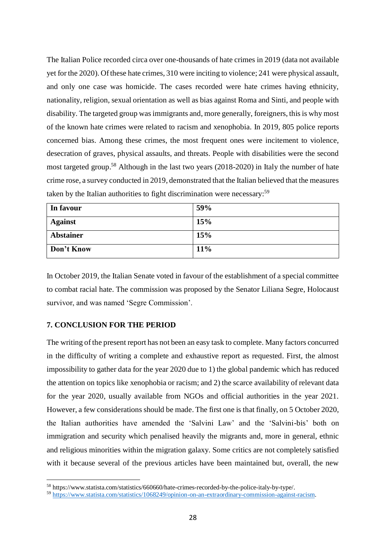The Italian Police recorded circa over one-thousands of hate crimes in 2019 (data not available yet for the 2020). Of these hate crimes, 310 were inciting to violence; 241 were physical assault, and only one case was homicide. The cases recorded were hate crimes having ethnicity, nationality, religion, sexual orientation as well as bias against Roma and Sinti, and people with disability. The targeted group was immigrants and, more generally, foreigners, this is why most of the known hate crimes were related to racism and xenophobia. In 2019, 805 police reports concerned bias. Among these crimes, the most frequent ones were incitement to violence, desecration of graves, physical assaults, and threats. People with disabilities were the second most targeted group.<sup>58</sup> Although in the last two years (2018-2020) in Italy the number of hate crime rose, a survey conducted in 2019, demonstrated that the Italian believed that the measures taken by the Italian authorities to fight discrimination were necessary:<sup>59</sup>

| In favour        | 59% |
|------------------|-----|
| <b>Against</b>   | 15% |
| <b>Abstainer</b> | 15% |
| Don't Know       | 11% |

In October 2019, the Italian Senate voted in favour of the establishment of a special committee to combat racial hate. The commission was proposed by the Senator Liliana Segre, Holocaust survivor, and was named 'Segre Commission'.

## **7. CONCLUSION FOR THE PERIOD**

 $\overline{a}$ 

The writing of the present report has not been an easy task to complete. Many factors concurred in the difficulty of writing a complete and exhaustive report as requested. First, the almost impossibility to gather data for the year 2020 due to 1) the global pandemic which has reduced the attention on topics like xenophobia or racism; and 2) the scarce availability of relevant data for the year 2020, usually available from NGOs and official authorities in the year 2021. However, a few considerations should be made. The first one is that finally, on 5 October 2020, the Italian authorities have amended the 'Salvini Law' and the 'Salvini-bis' both on immigration and security which penalised heavily the migrants and, more in general, ethnic and religious minorities within the migration galaxy. Some critics are not completely satisfied with it because several of the previous articles have been maintained but, overall, the new

<sup>58</sup> https://www.statista.com/statistics/660660/hate-crimes-recorded-by-the-police-italy-by-type/.

<sup>59</sup> [https://www.statista.com/statistics/1068249/opinion-on-an-extraordinary-commission-against-racism.](https://www.statista.com/statistics/1068249/opinion-on-an-extraordinary-commission-against-racism)